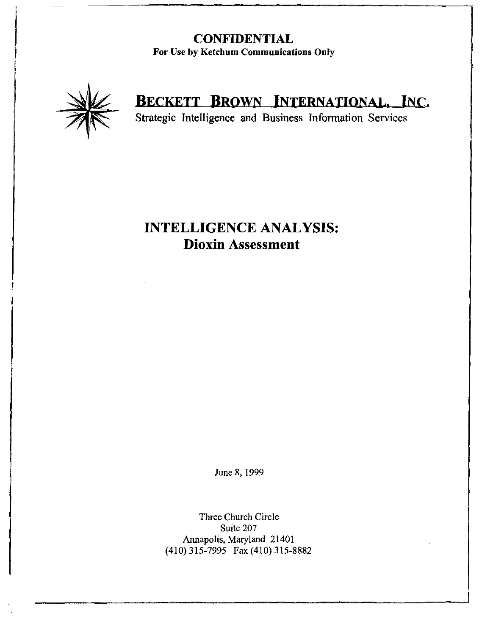### **CONFIDENTIAL** For Use by Ketchum Communications Only



# BECKETT BROWN INTERNATIONAL, INC.

Strategic Intelligence and Business Information Services

## **INTELLIGENCE ANALYSIS: Dioxin Assessment**

June 8,1999

Three Church Circle Suite 207 Annapolis, Maryland 21401 (410) 315-7995 Fax (410) 315-8882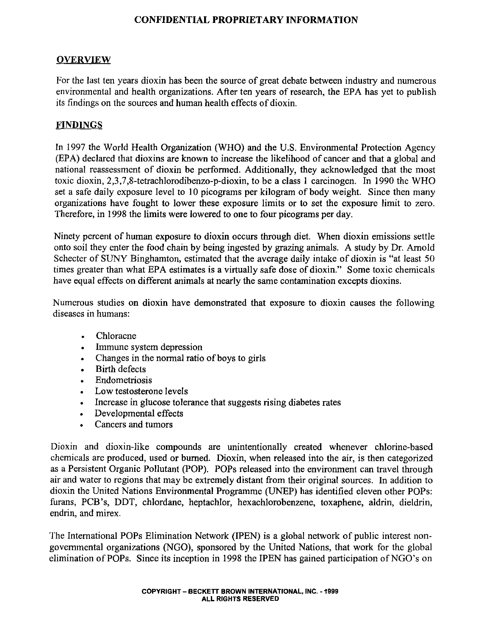#### **OVERVIEW**

For the last ten years dioxin has been the source of great debate between industry and numerous environmental and health organizations. After ten years of research, the EPA has yet to publish its findings on the sources and human health effects of dioxin.

#### FINDINGS

In 1997 the World Health Organization (WHO) and the U.S. Environmental Protection Agency (EPA) declared that dioxins are known to increase the likelihood of cancer and that a global and national reassessment of dioxin be performed. Additionally, they acknowledged that the most toxic dioxin, 2,3,7,8-tetrachlorodibenzo-p-dioxin, to be a class I carcinogen. In 1990 the WHO set a safe daily exposure level to 10 picograms per kilogram of body weight. Since then many organizations have fought to lower these exposure limits or to set the exposure limit to zero. Therefore, in 1998 the limits were lowered to one to four picograms per day.

Ninety percent of human exposure to dioxin occurs through diet. When dioxin emissions settle onto soil they enter the food chain by being ingested by grazing animals. A study by Dr. Arnold Schecter of SUNY Binghamton, estimated that the average daily intake of dioxin is "at least 50 times greater than what EPA estimates is a virtually safe dose of dioxin." Some toxic chemicals have equal effects on different animals at nearly the same contamination excepts dioxins.

Numerous studies on dioxin have demonstrated that exposure to dioxin causes the following diseases in humans:

- Chloracne
- Immune system depression
- Changes in the normal ratio of boys to girls
- Birth defects
- Endometriosis
- Low testosterone levels
- Increase in glucose tolerance that suggests rising diabetes rates
- Developmental effects
- Cancers and tumors

Dioxin and dioxin-like compounds are unintentionally created whenever chlorine-based chemicals are produced, used or burned. Dioxin, when released into the air, is then categorized as a Persistent Organic Pollutant (POP). POPs released into the environment can travel through air and water to regions that may be extremely distant from their original sources. In addition to dioxin the United Nations Environmental Programme (UNEP) has identified eleven other POPs: furans, PCB's, DDT, chlordane, heptachlor, hexachlorobenzene, toxaphene, aldrin, dieldrin, endrin, and mirex.

The International POPs Elimination Network (IPEN) is a global network of public interest nongovernmental organizations (NGO), sponsored by the United Nations, that work for the global elimination of POPs. Since its inception in 1998 the IPEN has gained participation of NGO's on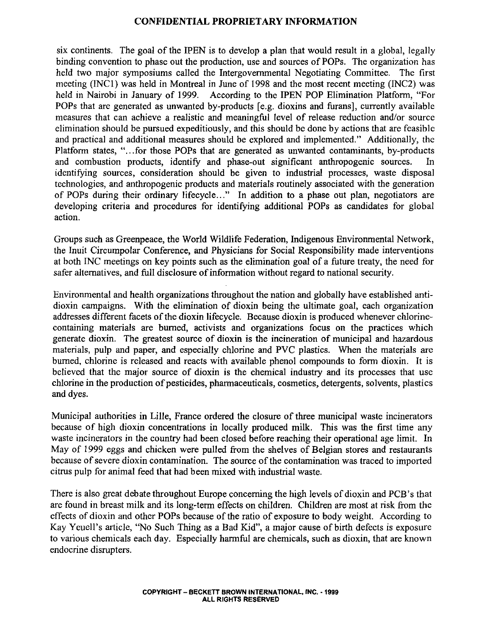six continents. The goal of the IPEN is to develop a plan that would result in a global, legally binding convention to phase out the production, use and sources of POPs. The organization has held two major symposiums called the Intergovernmental Negotiating Committee. The first meeting (INCI) was held in Montreal in June of 1998 and the most recent meeting (INC2) was held in Nairobi in January of 1999. According to the IPEN POP Elimination Platform, "For POPs that are generated as unwanted by-products [e.g. dioxins and furans], currently available measures that can achieve a realistic and meaningful level of release reduction and/or source elimination should be pursued expeditiously, and this should be done by actions that are feasible and practical and additional measures should be explored and implemented." Additionally, the Platform states, "...for those POPs that are generated as unwanted contaminants, by-products and combustion products, identify and phase-out significant anthropogenic sources. In identifying sources, consideration should be given to industrial processes, waste disposal technologies, and anthropogenic products and materials routinely associated with the generation of POPs during their ordinary lifecycle..." In addition to a phase out plan, negotiators are developing criteria and procedures for identifying additional POPs as candidates for global action.

Groups such as Greenpeace, the World Wildlife Federation, Indigenous Environmental Network, the Inuit Circumpolar Conference, and Physicians for Social Responsibility made interventions at both INC meetings on key points such as the elimination goal of a future treaty, the need for safer alternatives, and full disclosure of information without regard to national security.

Environmental and health organizations throughout the nation and globally have established antidioxin campaigns. With the elimination of dioxin being the ultimate goal, each organization addresses different facets of the dioxin lifecycle. Because dioxin is produced whenever chlorinecontaining materials are burned, activists and organizations focus on the practices which generate dioxin. The greatest source of dioxin is the incineration of municipal and hazardous materials, pulp and paper, and especially chlorine and PVC plastics. When the materials are burned, chlorine is released and reacts with available phenol compounds to form dioxin. It is believed that the major source of dioxin is the chemical industry and its processes that use chlorine in the production of pesticides, pharmaceuticals, cosmetics, detergents, solvents, plastics and dyes.

Municipal authorities in Lille, France ordered the closure of three municipal waste incinerators because of high dioxin concentrations in locally produced milk. This was the first time any waste incinerators in the country had been closed before reaching their operational age limit. In May of 1999 eggs and chicken were pulled from the shelves of Belgian stores and restaurants because of severe dioxin contamination. The source of the contamination was traced to imported citrus pulp for animal feed that had been mixed with industrial waste.

There is also great debate throughout Europe concerning the high levels of dioxin and PCB's that are found in breast milk and its long-term effects on children. Children are most at risk from the effects of dioxin and other POPs because of the ratio of exposure to body weight. According to Kay Yeuell's article, "No Such Thing as a Bad Kid", a major cause of birth defects is exposure to various chemicals each day. Especially harmful are chemicals, such as dioxin, that are known endocrine disrupters.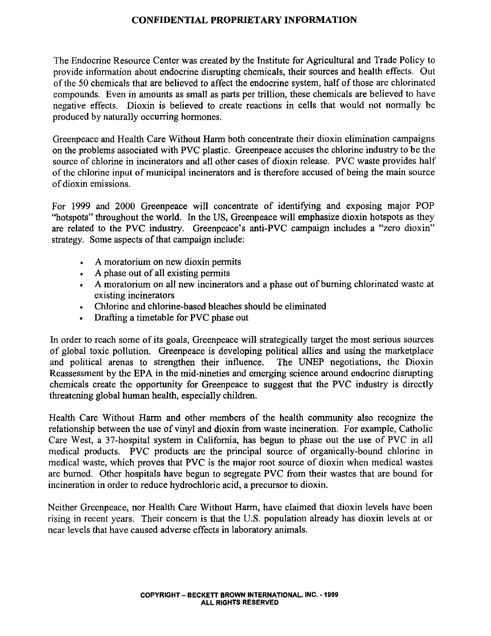The Endocrine Resource Center was created by the Institute for Agricultural and Trade Policy to provide information about endocrine disrupting chemicals, their sources and health effects. Out of the 50 chemicals that are believed to affect the endocrine system, half of those are chlorinated compounds. Even in amounts as small as parts per trillion, these chemicals are believed to have negative effects. Dioxin is believed to create reactions in cells that would not normally be produced by naturally occurring hormones.

Greenpeace and Health Care Without Harm both concentrate their dioxin elimination campaigns on the problems associated with PVC plastic. Greenpeace accuses the chlorine industry to be the source of chlorine in incinerators and all other cases of dioxin release. PVC waste provides half of the chlorine input of municipal incinerators and is therefore accused of being the main source of dioxin emissions.

For 1999 and 2000 Greenpeace will concentrate of identifying and exposing major POP "hotspots" throughout the world. In the US, Greenpeace will emphasize dioxin hotspots as they are related to the PVC industry. Greenpeace's anti-PVC campaign includes a "zero dioxin" strategy. Some aspects of that campaign include:

- A moratorium on new dioxin permits
- A phase out of all existing permits
- A moratorium on all new incinerators and a phase out of burning chlorinated waste at existing incinerators
- Chlorine and chlorine-based bleaches should be eliminated
- Drafting a timetable for PVC phase out

In order to reach some of its goals, Greenpeace will strategically target the most serious sources of global toxic pollution. Greenpeace is developing political allies and using the marketplace and political arenas to strengthen their influence. The UNEP negotiations, the Dioxin Reassessment by the EPA in the mid-nineties and emerging science around endocrine disrupting chemicals create the opportunity for Greenpeace to suggest that the PVC industry is directly threatening global human health, especially children.

Health Care Without Harm and other members of the health community also recognize the relationship between the use of vinyl and dioxin from waste incineration. For example, Catholic Care West, a 37-hospital system in California, has begun to phase out the use of PVC in all medical products. PVC products are the principal source of organically-bound chlorine in medical waste, which proves that PVC is the major root source of dioxin when medical wastes are burned. Other hospitals have begun to segregate PVC from their wastes that are bound for incineration in order to reduce hydrochloric acid, a precursor to dioxin.

Neither Greenpeace, nor Health Care Without Harm, have claimed that dioxin levels have been rising in recent years. Their concern is that the U.S. population already has dioxin levels at or near levels that have caused adverse effects in laboratory animals.